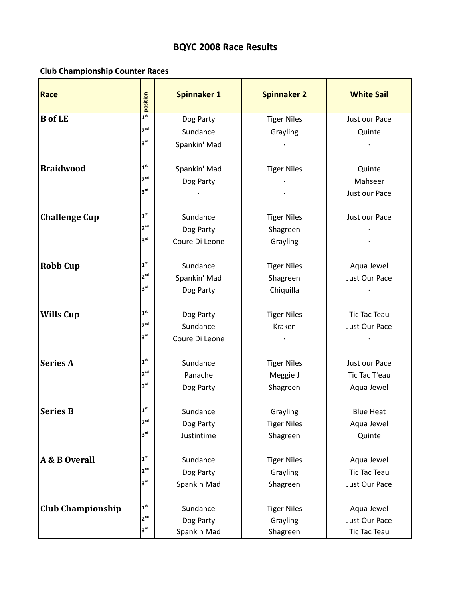## **BQYC
2008
Race
Results**

## **Club
Championship
Counter
Races**

| <b>Race</b>              | position                              | <b>Spinnaker 1</b> | <b>Spinnaker 2</b> | <b>White Sail</b>   |
|--------------------------|---------------------------------------|--------------------|--------------------|---------------------|
| <b>B</b> of LE           | 1 <sup>st</sup>                       | Dog Party          | <b>Tiger Niles</b> | Just our Pace       |
|                          | 2 <sup>nd</sup>                       | Sundance           | Grayling           | Quinte              |
|                          | 3 <sup>rd</sup>                       | Spankin' Mad       |                    |                     |
| <b>Braidwood</b>         | $\boldsymbol{1}^{\text{st}}$          | Spankin' Mad       | <b>Tiger Niles</b> | Quinte              |
|                          | $2^{nd}$                              | Dog Party          |                    | Mahseer             |
|                          | 3 <sup>rd</sup>                       |                    |                    | Just our Pace       |
| <b>Challenge Cup</b>     | 1 <sup>st</sup>                       | Sundance           | <b>Tiger Niles</b> | Just our Pace       |
|                          | 2 <sup>nd</sup>                       | Dog Party          | Shagreen           |                     |
|                          | $3^{\text{rd}}$                       | Coure Di Leone     | Grayling           |                     |
| <b>Robb Cup</b>          | 1 <sup>st</sup>                       | Sundance           | <b>Tiger Niles</b> | Aqua Jewel          |
|                          | 2 <sup>nd</sup>                       | Spankin' Mad       | Shagreen           | Just Our Pace       |
|                          | $3^{\text{rd}}$                       | Dog Party          | Chiquilla          |                     |
| <b>Wills Cup</b>         | 1 <sup>st</sup>                       | Dog Party          | <b>Tiger Niles</b> | <b>Tic Tac Teau</b> |
|                          | 2 <sup>nd</sup>                       | Sundance           | Kraken             | Just Our Pace       |
|                          | 3 <sup>rd</sup>                       | Coure Di Leone     |                    |                     |
| <b>Series A</b>          | 1 <sup>st</sup>                       | Sundance           | <b>Tiger Niles</b> | Just our Pace       |
|                          | 2 <sup>nd</sup>                       | Panache            | Meggie J           | Tic Tac T'eau       |
|                          | 3 <sup>rd</sup>                       | Dog Party          | Shagreen           | Aqua Jewel          |
| <b>Series B</b>          | $\boldsymbol{\mathsf{1}}^{\text{st}}$ | Sundance           | Grayling           | <b>Blue Heat</b>    |
|                          | 2 <sup>nd</sup>                       | Dog Party          | <b>Tiger Niles</b> | Aqua Jewel          |
|                          | 3 <sup>rd</sup>                       | Justintime         | Shagreen           | Quinte              |
| A & B Overall            | $\mathbf{1}^{\text{st}}$              | Sundance           | <b>Tiger Niles</b> | Aqua Jewel          |
|                          | $2^{nd}$                              | Dog Party          | Grayling           | <b>Tic Tac Teau</b> |
|                          | 3 <sup>rd</sup>                       | Spankin Mad        | Shagreen           | Just Our Pace       |
| <b>Club Championship</b> | 1 <sup>st</sup>                       | Sundance           | <b>Tiger Niles</b> | Aqua Jewel          |
|                          | $2^{na}$                              | Dog Party          | Grayling           | Just Our Pace       |
|                          | 3 <sup>rd</sup>                       | Spankin Mad        | Shagreen           | <b>Tic Tac Teau</b> |